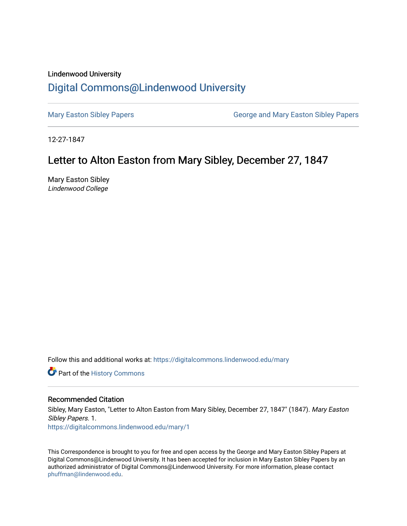## Lindenwood University [Digital Commons@Lindenwood University](https://digitalcommons.lindenwood.edu/)

[Mary Easton Sibley Papers](https://digitalcommons.lindenwood.edu/mary) **George and Mary Easton Sibley Papers** George and Mary Easton Sibley Papers

12-27-1847

## Letter to Alton Easton from Mary Sibley, December 27, 1847

Mary Easton Sibley Lindenwood College

Follow this and additional works at: [https://digitalcommons.lindenwood.edu/mary](https://digitalcommons.lindenwood.edu/mary?utm_source=digitalcommons.lindenwood.edu%2Fmary%2F1&utm_medium=PDF&utm_campaign=PDFCoverPages) 

Part of the [History Commons](http://network.bepress.com/hgg/discipline/489?utm_source=digitalcommons.lindenwood.edu%2Fmary%2F1&utm_medium=PDF&utm_campaign=PDFCoverPages) 

## Recommended Citation

Sibley, Mary Easton, "Letter to Alton Easton from Mary Sibley, December 27, 1847" (1847). Mary Easton Sibley Papers. 1. [https://digitalcommons.lindenwood.edu/mary/1](https://digitalcommons.lindenwood.edu/mary/1?utm_source=digitalcommons.lindenwood.edu%2Fmary%2F1&utm_medium=PDF&utm_campaign=PDFCoverPages) 

This Correspondence is brought to you for free and open access by the George and Mary Easton Sibley Papers at Digital Commons@Lindenwood University. It has been accepted for inclusion in Mary Easton Sibley Papers by an authorized administrator of Digital Commons@Lindenwood University. For more information, please contact [phuffman@lindenwood.edu](mailto:phuffman@lindenwood.edu).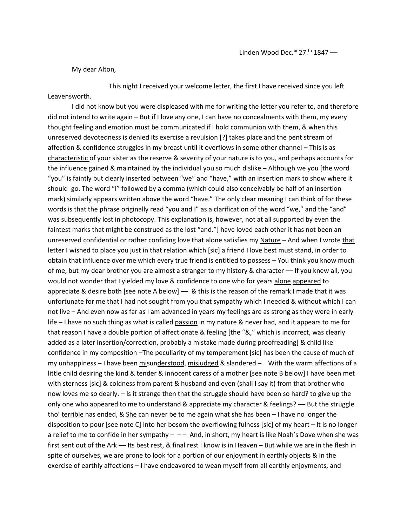My dear Alton,

Leavensworth.

This night I received your welcome letter, the first I have received since you left

I did not know but you were displeased with me for writing the letter you refer to, and therefore did not intend to write again – But if I love any one, I can have no concealments with them, my every thought feeling and emotion must be communicated if I hold communion with them, & when this unreserved devotedness is denied its exercise a revulsion [?] takes place and the pent stream of affection & confidence struggles in my breast until it overflows in some other channel – This is as characteristic of your sister as the reserve & severity of your nature is to you, and perhaps accounts for the influence gained & maintained by the individual you so much dislike – Although we you [the word "you" is faintly but clearly inserted between "we" and "have," with an insertion mark to show where it should go. The word "I" followed by a comma (which could also conceivably be half of an insertion mark) similarly appears written above the word "have." The only clear meaning I can think of for these words is that the phrase originally read "you and I" as a clarification of the word "we," and the "and" was subsequently lost in photocopy. This explanation is, however, not at all supported by even the faintest marks that might be construed as the lost "and."] have loved each other it has not been an unreserved confidential or rather confiding love that alone satisfies my Nature – And when I wrote that letter I wished to place you just in that relation which [sic] a friend I love best must stand, in order to obtain that influence over me which every true friend is entitled to possess – You think you know much of me, but my dear brother you are almost a stranger to my history & character –– If you knew all, you would not wonder that I yielded my love & confidence to one who for years alone appeared to appreciate & desire both [see note A below]  $-$  & this is the reason of the remark I made that it was unfortunate for me that I had not sought from you that sympathy which I needed & without which I can not live – And even now as far as I am advanced in years my feelings are as strong as they were in early life – I have no such thing as what is called passion in my nature & never had, and it appears to me for that reason I have a double portion of affectionate & feeling [the "&," which is incorrect, was clearly added as a later insertion/correction, probably a mistake made during proofreading] & child like confidence in my composition –The peculiarity of my temperement [sic] has been the cause of much of my unhappiness – I have been misunderstood, misjudged & slandered – With the warm affections of a little child desiring the kind & tender & innocent caress of a mother [see note B below] I have been met with sterness [sic] & coldness from parent & husband and even (shall I say it) from that brother who now loves me so dearly. – Is it strange then that the struggle should have been so hard? to give up the only one who appeared to me to understand & appreciate my character & feelings? –– But the struggle tho' terrible has ended, & She can never be to me again what she has been - I have no longer the disposition to pour [see note C] into her bosom the overflowing fulness [sic] of my heart – It is no longer a relief to me to confide in her sympathy  $-$  And, in short, my heart is like Noah's Dove when she was first sent out of the Ark –– Its best rest, & final rest I know is in Heaven – But while we are in the flesh in spite of ourselves, we are prone to look for a portion of our enjoyment in earthly objects & in the exercise of earthly affections – I have endeavored to wean myself from all earthly enjoyments, and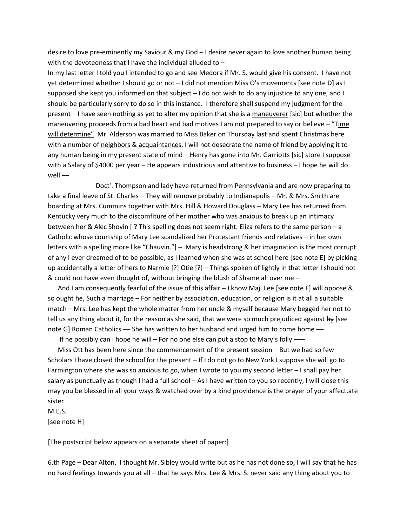desire to love pre-eminently my Saviour & my God – I desire never again to love another human being with the devotedness that I have the individual alluded to –

In my last letter I told you I intended to go and see Medora if Mr. S. would give his consent. I have not yet determined whether I should go or not – I did not mention Miss O's movements [see note D] as I supposed she kept you informed on that subject – I do not wish to do any injustice to any one, and I should be particularly sorry to do so in this instance. I therefore shall suspend my judgment for the present – I have seen nothing as yet to alter my opinion that she is a maneuverer [sic] but whether the maneuvering proceeds from a bad heart and bad motives I am not prepared to say or believe – "Time will determine" Mr. Alderson was married to Miss Baker on Thursday last and spent Christmas here with a number of neighbors & acquaintances, I will not desecrate the name of friend by applying it to any human being in my present state of mind – Henry has gone into Mr. Garriotts [sic] store I suppose with a Salary of \$4000 per year – He appears industrious and attentive to business – I hope he will do well ––

Doct<sup>r</sup>. Thompson and lady have returned from Pennsylvania and are now preparing to take a final leave of St. Charles – They will remove probably to Indianapolis – Mr. & Mrs. Smith are boarding at Mrs. Cummins together with Mrs. Hill & Howard Douglass – Mary Lee has returned from Kentucky very much to the discomfiture of her mother who was anxious to break up an intimacy between her & Alec Shovin [ ? This spelling does not seem right. Eliza refers to the same person – a Catholic whose courtship of Mary Lee scandalized her Protestant friends and relatives – in her own letters with a spelling more like "Chauvin."] – Mary is headstrong & her imagination is the most corrupt of any I ever dreamed of to be possible, as I learned when she was at school here [see note E] by picking up accidentally a letter of hers to Narmie [?] Otie [?] – Things spoken of lightly in that letter I should not & could not have even thought of, without bringing the blush of Shame all over me –

And I am consequently fearful of the issue of this affair – I know Maj. Lee [see note F] will oppose & so ought he, Such a marriage – For neither by association, education, or religion is it at all a suitable match – Mrs. Lee has kept the whole matter from her uncle & myself because Mary begged her not to tell us any thing about it, for the reason as she said, that we were so much prejudiced against by [see note G] Roman Catholics — She has written to her husband and urged him to come home —

If he possibly can I hope he will – For no one else can put a stop to Mary's folly  $-\text{ }$ 

 Miss Ott has been here since the commencement of the present session – But we had so few Scholars I have closed the school for the present – If I do not go to New York I suppose she will go to Farmington where she was so anxious to go, when I wrote to you my second letter – I shall pay her salary as punctually as though I had a full school – As I have written to you so recently, I will close this may you be blessed in all your ways & watched over by a kind providence is the prayer of your affect.ate sister

M.E.S.

[see note H]

[The postscript below appears on a separate sheet of paper:]

6.th Page – Dear Alton, I thought Mr. Sibley would write but as he has not done so, I will say that he has no hard feelings towards you at all – that he says Mrs. Lee & Mrs. S. never said any thing about you to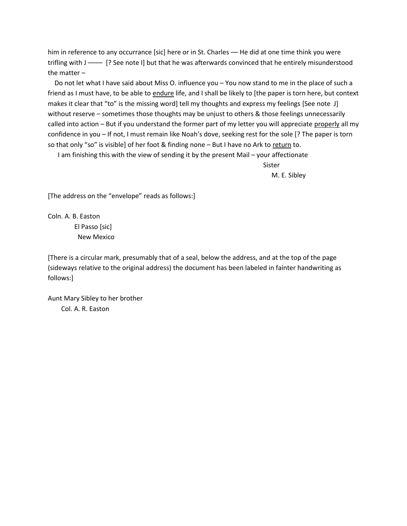him in reference to any occurrance [sic] here or in St. Charles — He did at one time think you were trifling with J –––– [? See note I] but that he was afterwards convinced that he entirely misunderstood the matter –

 Do not let what I have said about Miss O. influence you – You now stand to me in the place of such a friend as I must have, to be able to endure life, and I shall be likely to [the paper is torn here, but context makes it clear that "to" is the missing word] tell my thoughts and express my feelings [See note J] without reserve – sometimes those thoughts may be unjust to others & those feelings unnecessarily called into action – But if you understand the former part of my letter you will appreciate properly all my confidence in you – If not, I must remain like Noah's dove, seeking rest for the sole [? The paper is torn so that only "so" is visible] of her foot & finding none - But I have no Ark to return to.

I am finishing this with the view of sending it by the present Mail – your affectionate

Sister M. E. Sibley

[The address on the "envelope" reads as follows:]

Coln. A. B. Easton El Passo [sic] New Mexico

[There is a circular mark, presumably that of a seal, below the address, and at the top of the page (sideways relative to the original address) the document has been labeled in fainter handwriting as follows:]

Aunt Mary Sibley to her brother Col. A. R. Easton